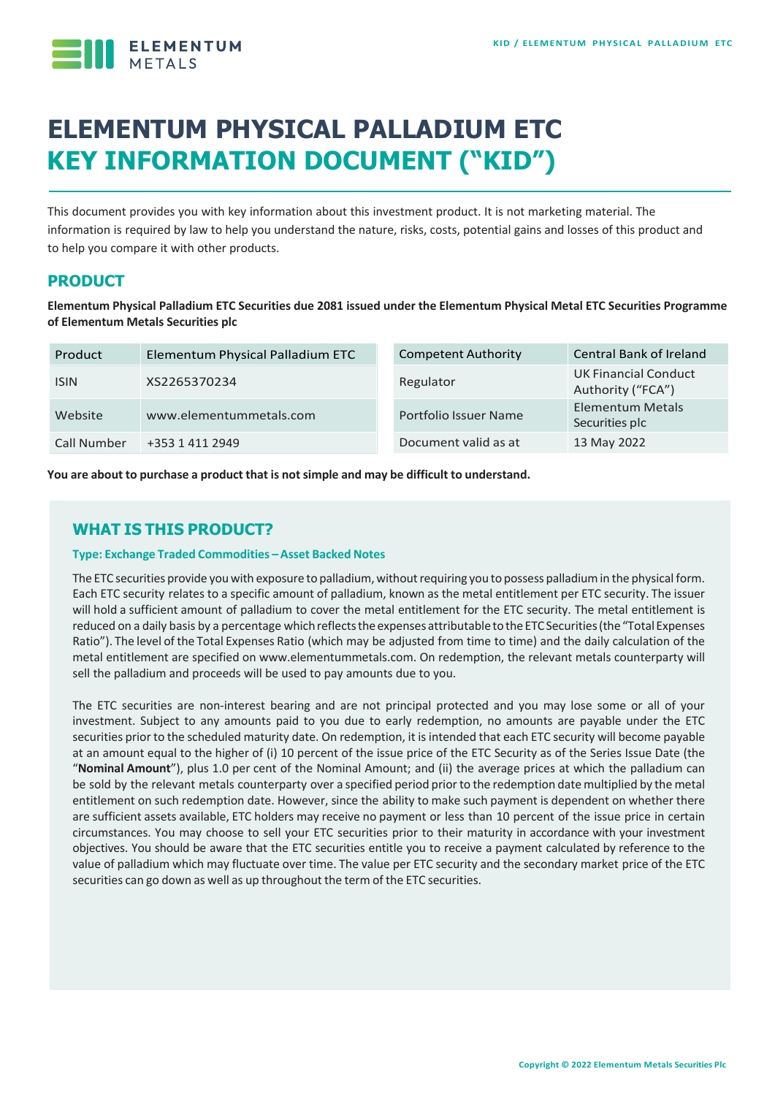

# **ELEMENTUM PHYSICAL PALLADIUM ETC KEY INFORMATION DOCUMENT ("KID")**

This document provides you with key information about this investment product. It is not marketing material. The information is required by law to help you understand the nature, risks, costs, potential gains and losses of this product and to help you compare it with other products.

## **PRODUCT**

**Elementum Physical Palladium ETC Securities due 2081 issued under the Elementum Physical Metal ETC Securities Programme of Elementum Metals Securities plc**

| Product     | Elementum Physical Palladium ETC | <b>Competent Authority</b> | <b>Central Bank of Ireland</b>                   |
|-------------|----------------------------------|----------------------------|--------------------------------------------------|
| <b>ISIN</b> | XS2265370234                     | Regulator                  | <b>UK Financial Conduct</b><br>Authority ("FCA") |
| Website     | www.elementummetals.com          | Portfolio Issuer Name      | <b>Elementum Metals</b><br>Securities plc        |
| Call Number | +353 1 411 2949                  | Document valid as at       | 13 May 2022                                      |

**You are about to purchase a product that is notsimple and may be difficult to understand.**

# **WHAT IS THIS PRODUCT?**

#### **Type: Exchange Traded Commodities –Asset Backed Notes**

The ETC securities provide you with exposure to palladium, without requiring you to possess palladium in the physical form. Each ETC security relates to a specific amount of palladium, known as the metal entitlement per ETC security. The issuer will hold a sufficient amount of palladium to cover the metal entitlement for the ETC security. The metal entitlement is reduced on a daily basis by a percentage which reflects the expenses attributable to the ETC Securities (the "Total Expenses Ratio"). The level of the Total Expenses Ratio (which may be adjusted from time to time) and the daily calculation of the metal entitlement are specified on www.elementummetals.com. On redemption, the relevant metals counterparty will sell the palladium and proceeds will be used to pay amounts due to you.

The ETC securities are non-interest bearing and are not principal protected and you may lose some or all of your investment. Subject to any amounts paid to you due to early redemption, no amounts are payable under the ETC securities prior to the scheduled maturity date. On redemption, it is intended that each ETC security will become payable at an amount equal to the higher of (i) 10 percent of the issue price of the ETC Security as of the Series Issue Date (the "**Nominal Amount**"), plus 1.0 per cent of the Nominal Amount; and (ii) the average prices at which the palladium can be sold by the relevant metals counterparty over a specified period prior to the redemption date multiplied by the metal entitlement on such redemption date. However, since the ability to make such payment is dependent on whether there are sufficient assets available, ETC holders may receive no payment or less than 10 percent of the issue price in certain circumstances. You may choose to sell your ETC securities prior to their maturity in accordance with your investment objectives. You should be aware that the ETC securities entitle you to receive a payment calculated by reference to the value of palladium which may fluctuate over time. The value per ETC security and the secondary market price of the ETC securities can go down as well as up throughout the term of the ETC securities.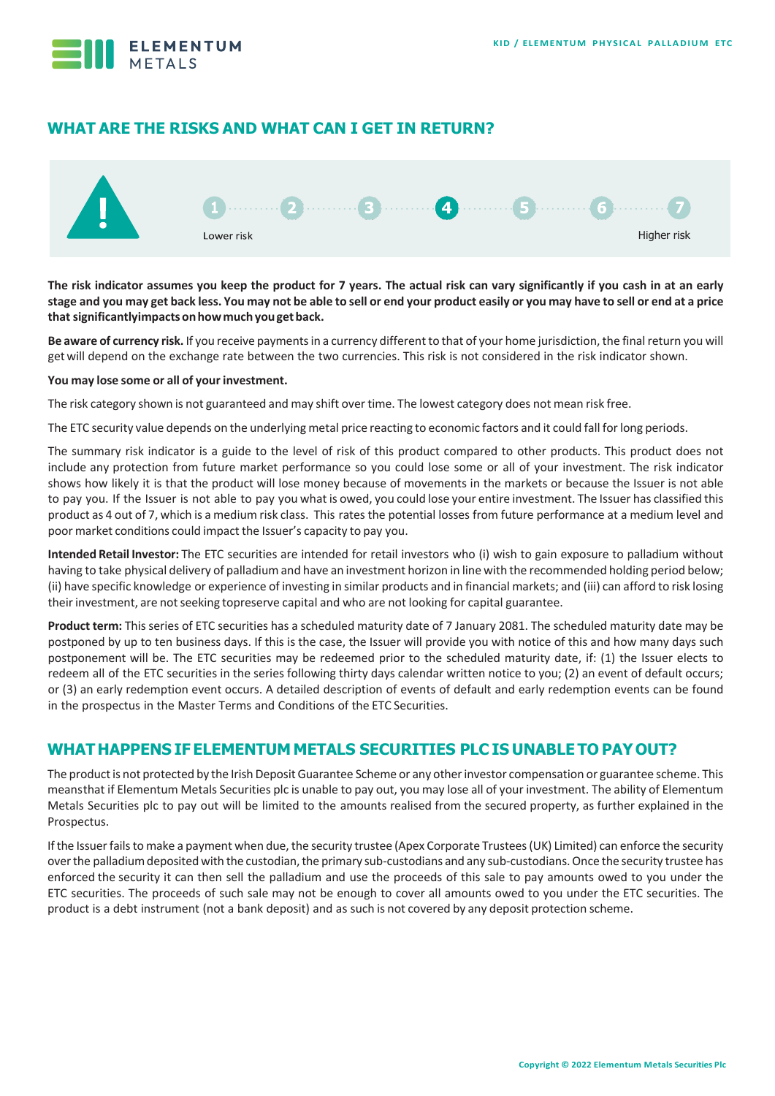

## **WHAT ARE THE RISKS AND WHAT CAN I GET IN RETURN?**



**The risk indicator assumes you keep the product for 7 years. The actual risk can vary significantly if you cash in at an early**  stage and you may get back less. You may not be able to sell or end your product easily or you may have to sell or end at a price **thatsignificantlyimpactsonhowmuchyougetback.**

Be aware of currency risk. If you receive payments in a currency different to that of your home jurisdiction, the final return you will getwill depend on the exchange rate between the two currencies. This risk is not considered in the risk indicator shown.

#### **You may lose some or all of your investment.**

The risk category shown is not guaranteed and may shift over time. The lowest category does not mean risk free.

The ETC security value depends on the underlying metal price reacting to economic factors and it could fall forlong periods.

The summary risk indicator is a guide to the level of risk of this product compared to other products. This product does not include any protection from future market performance so you could lose some or all of your investment. The risk indicator shows how likely it is that the product will lose money because of movements in the markets or because the Issuer is not able to pay you. If the Issuer is not able to pay you what is owed, you could lose your entire investment. The Issuer has classified this product as 4 out of 7, which is a medium risk class. This rates the potential losses from future performance at a medium level and poor market conditions could impact the Issuer's capacity to pay you.

**Intended Retail Investor:** The ETC securities are intended for retail investors who (i) wish to gain exposure to palladium without having to take physical delivery of palladium and have an investment horizon in line with the recommended holding period below; (ii) have specific knowledge or experience of investing in similar products and in financial markets; and (iii) can afford to risk losing theirinvestment, are notseeking topreserve capital and who are not looking for capital guarantee.

**Product term:** This series of ETC securities has a scheduled maturity date of 7 January 2081. The scheduled maturity date may be postponed by up to ten business days. If this is the case, the Issuer will provide you with notice of this and how many days such postponement will be. The ETC securities may be redeemed prior to the scheduled maturity date, if: (1) the Issuer elects to redeem all of the ETC securities in the series following thirty days calendar written notice to you; (2) an event of default occurs; or (3) an early redemption event occurs. A detailed description of events of default and early redemption events can be found in the prospectus in the Master Terms and Conditions of the ETC Securities.

## **WHAT HAPPENS IF ELEMENTUM METALS SECURITIES PLC IS UNABLE TO PAYOUT?**

The product is not protected by the Irish Deposit Guarantee Scheme or any other investor compensation or guarantee scheme. This meansthat if Elementum Metals Securities plc is unable to pay out, you may lose all of your investment. The ability of Elementum Metals Securities plc to pay out will be limited to the amounts realised from the secured property, as further explained in the Prospectus.

If the Issuer fails to make a payment when due, the security trustee (Apex Corporate Trustees (UK) Limited) can enforce the security over the palladium deposited with the custodian, the primary sub-custodians and any sub-custodians. Once the security trustee has enforced the security it can then sell the palladium and use the proceeds of this sale to pay amounts owed to you under the ETC securities. The proceeds of such sale may not be enough to cover all amounts owed to you under the ETC securities. The product is a debt instrument (not a bank deposit) and as such is not covered by any deposit protection scheme.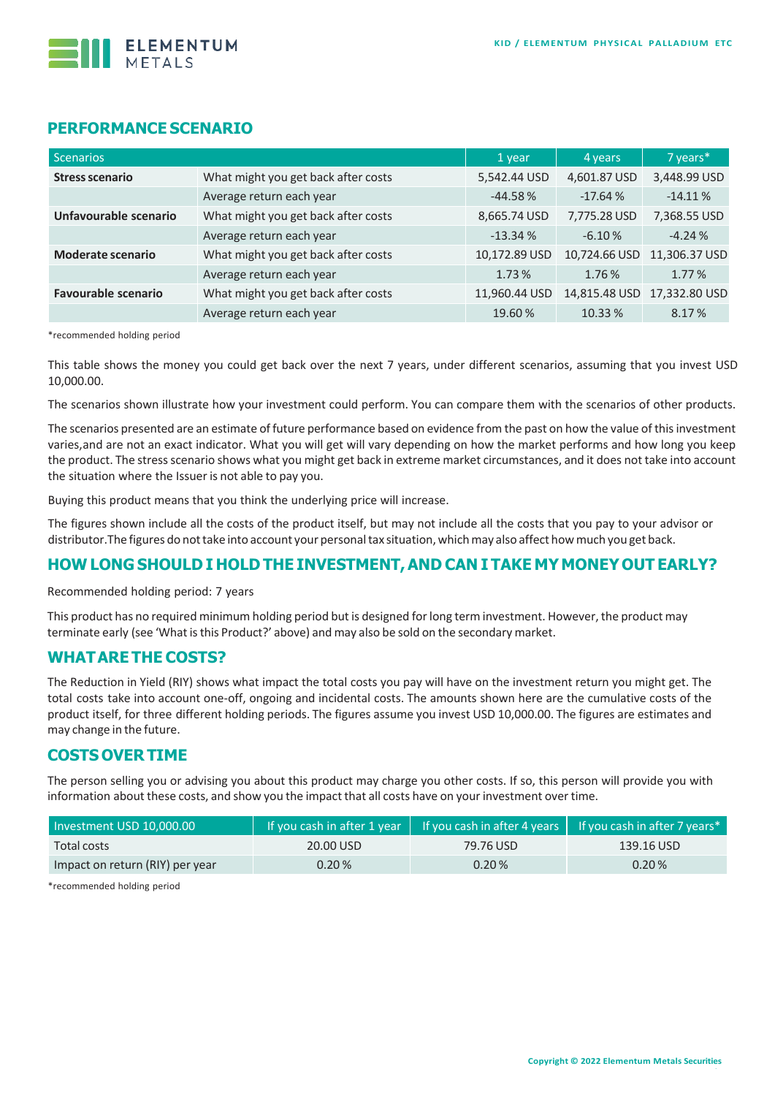

#### **PERFORMANCE SCENARIO**

| <b>Scenarios</b>           |                                     | 1 year        | 4 years       | 7 years*      |
|----------------------------|-------------------------------------|---------------|---------------|---------------|
| <b>Stress scenario</b>     | What might you get back after costs | 5,542.44 USD  | 4,601.87 USD  | 3,448.99 USD  |
|                            | Average return each year            | $-44.58%$     | $-17.64%$     | $-14.11%$     |
| Unfavourable scenario      | What might you get back after costs | 8,665.74 USD  | 7,775.28 USD  | 7,368.55 USD  |
|                            | Average return each year            | $-13.34%$     | $-6.10%$      | $-4.24%$      |
| <b>Moderate scenario</b>   | What might you get back after costs | 10,172.89 USD | 10,724.66 USD | 11,306.37 USD |
|                            | Average return each year            | 1.73%         | 1.76%         | 1.77%         |
| <b>Favourable scenario</b> | What might you get back after costs | 11,960.44 USD | 14,815.48 USD | 17,332.80 USD |
|                            | Average return each year            | 19.60%        | 10.33 %       | 8.17%         |

\*recommended holding period

This table shows the money you could get back over the next 7 years, under different scenarios, assuming that you invest USD 10,000.00.

The scenarios shown illustrate how your investment could perform. You can compare them with the scenarios of other products.

The scenarios presented are an estimate of future performance based on evidence from the past on how the value of this investment varies,and are not an exact indicator. What you will get will vary depending on how the market performs and how long you keep the product. The stressscenario shows what you might get back in extreme market circumstances, and it does not take into account the situation where the Issuer is not able to pay you.

Buying this product means that you think the underlying price will increase.

The figures shown include all the costs of the product itself, but may not include all the costs that you pay to your advisor or distributor.The figures do nottake into account your personaltax situation, whichmay also affect howmuch you get back.

#### **HOW LONG SHOULD I HOLD THE INVESTMENT,AND CAN I TAKE MY MONEY OUT EARLY?**

Recommended holding period: 7 years

This product has no required minimum holding period but is designed forlong term investment. However, the product may terminate early (see 'What is this Product?' above) and may also be sold on the secondary market.

#### **WHATARE THE COSTS?**

The Reduction in Yield (RIY) shows what impact the total costs you pay will have on the investment return you might get. The total costs take into account one-off, ongoing and incidental costs. The amounts shown here are the cumulative costs of the product itself, for three different holding periods. The figures assume you invest USD 10,000.00. The figures are estimates and may change in the future.

#### **COSTS OVER TIME**

The person selling you or advising you about this product may charge you other costs. If so, this person will provide you with information about these costs, and show you the impact that all costs have on your investment over time.

| Investment USD 10,000.00        |           |           | If you cash in after 1 year $\parallel$ If you cash in after 4 years $\parallel$ If you cash in after 7 years* |  |
|---------------------------------|-----------|-----------|----------------------------------------------------------------------------------------------------------------|--|
| Total costs                     | 20.00 USD | 79.76 USD | 139.16 USD                                                                                                     |  |
| Impact on return (RIY) per year | 0.20%     | 0.20%     | 0.20%                                                                                                          |  |

\*recommended holding period